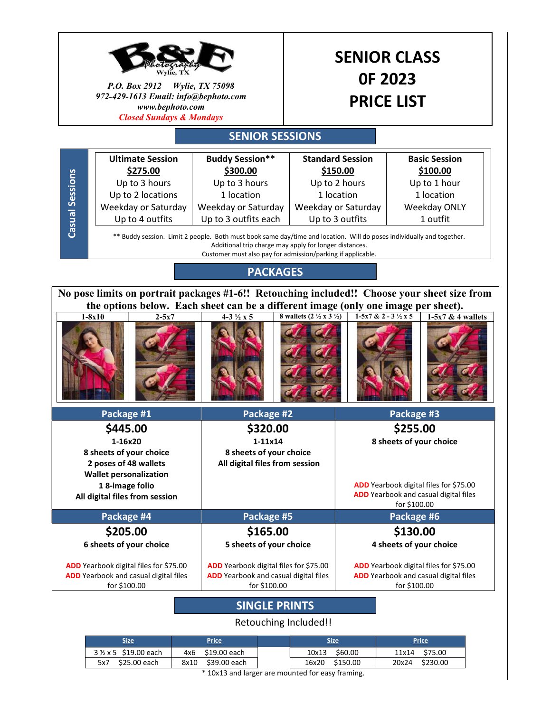

| Size.                                | <b>Price</b>         | Size.            | <b>Price</b>      |
|--------------------------------------|----------------------|------------------|-------------------|
| $3\frac{1}{2} \times 5$ \$19.00 each | 4x6 \$19.00 each     | \$60.00<br>10x13 | \$75.00<br>11x14  |
| \$25.00 each<br>5x7                  | \$39.00 each<br>8x10 | 16x20 \$150.00   | \$230.00<br>20x24 |
|                                      | .                    |                  |                   |

\* 10x13 and larger are mounted for easy framing.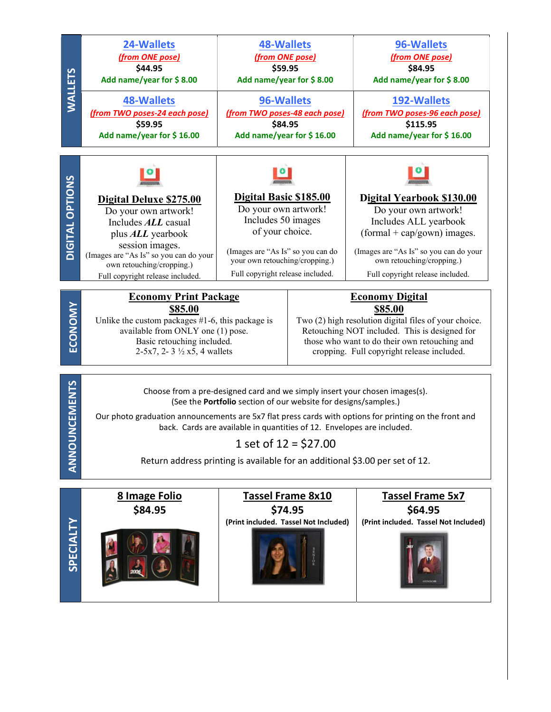